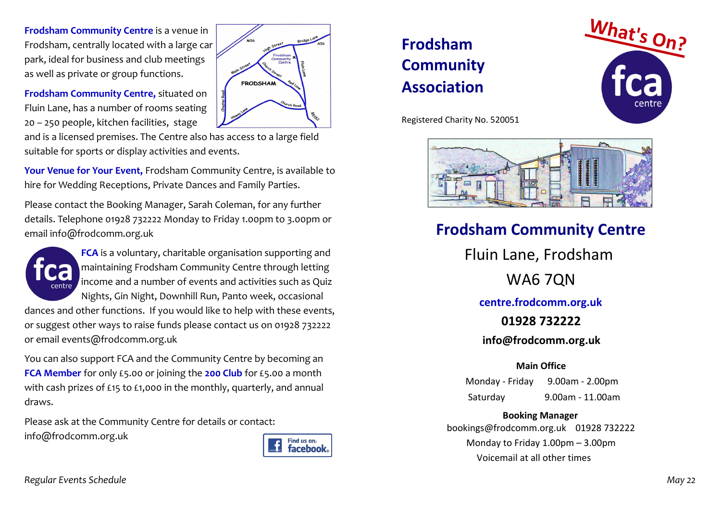**Frodsham Community Centre** is a venue in Frodsham, centrally located with a large car park, ideal for business and club meetings as well as private or group functions.

Frodsha<br>Communit FRODSHAM

**Frodsham Community Centre,** situated on Fluin Lane, has a number of rooms seating 20 – 250 people, kitchen facilities, stage

and is a licensed premises. The Centre also has access to a large field suitable for sports or display activities and events.

**Your Venue for Your Event,** Frodsham Community Centre, is available to hire for Wedding Receptions, Private Dances and Family Parties.

Please contact the Booking Manager, Sarah Coleman, for any further details. Telephone 01928 732222 Monday to Friday 1.00pm to 3.00pm or email info@frodcomm.org.uk



**FCA** is a voluntary, charitable organisation supporting and maintaining Frodsham Community Centre through letting income and a number of events and activities such as Quiz Nights, Gin Night, Downhill Run, Panto week, occasional

dances and other functions. If you would like to help with these events, or suggest other ways to raise funds please contact us on 01928 732222 or email events@frodcomm.org.uk

You can also support FCA and the Community Centre by becoming an **FCA Member** for only £5.00 or joining the **200 Club** for £5.00 a month with cash prizes of £15 to £1,000 in the monthly, quarterly, and annual draws.

Please ask at the Community Centre for details or contact: info@frodcomm.org.uk



# **Frodsham Community Association**



Registered Charity No. 520051



## **Frodsham Community Centre**

Fluin Lane, Frodsham WA6 7QN **centre.frodcomm.org.uk 01928 732222 info@frodcomm.org.uk** 

### **Main Office**

Monday - Friday 9.00am - 2.00pm Saturday 9.00am - 11.00am

**Booking Manager** bookings@frodcomm.org.uk 01928 732222 Monday to Friday 1.00pm – 3.00pm Voicemail at all other times